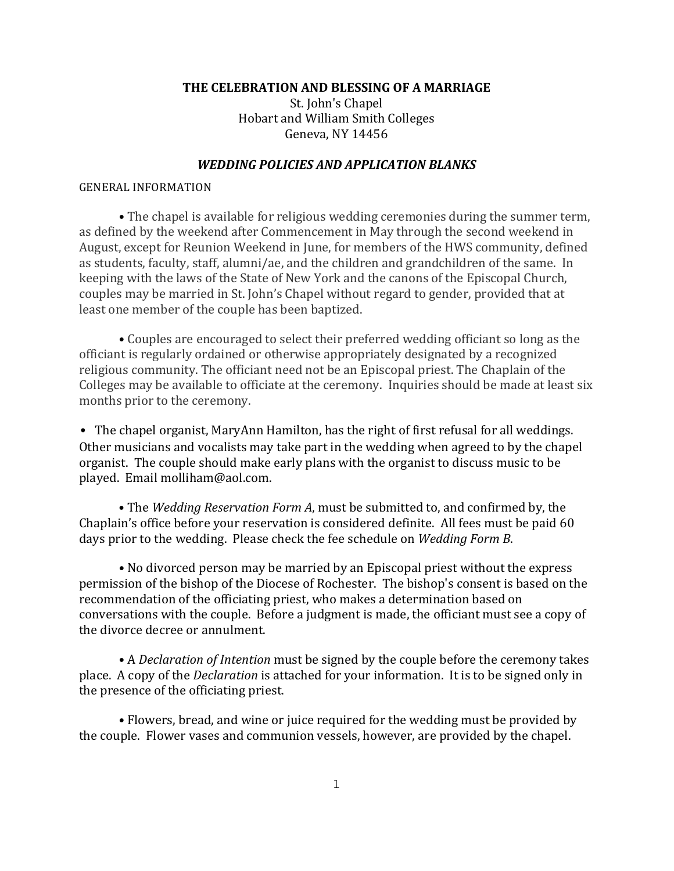THE CELEBRATION AND BLESSING OF A MARRIAGE

St. John's Chapel Hobart and William Smith Colleges Geneva, NY 14456

#### *WEDDING POLICIES AND APPLICATION BLANKS*

#### **GENERAL INFORMATION**

**•** The chapel is available for religious wedding ceremonies during the summer term, as defined by the weekend after Commencement in May through the second weekend in August, except for Reunion Weekend in June, for members of the HWS community, defined as students, faculty, staff, alumni/ae, and the children and grandchildren of the same. In keeping with the laws of the State of New York and the canons of the Episcopal Church, couples may be married in St. John's Chapel without regard to gender, provided that at least one member of the couple has been baptized.

**•** Couples are encouraged to select their preferred wedding officiant so long as the officiant is regularly ordained or otherwise appropriately designated by a recognized religious community. The officiant need not be an Episcopal priest. The Chaplain of the Colleges may be available to officiate at the ceremony. Inquiries should be made at least six months prior to the ceremony.

• The chapel organist, MaryAnn Hamilton, has the right of first refusal for all weddings. Other musicians and vocalists may take part in the wedding when agreed to by the chapel organist. The couple should make early plans with the organist to discuss music to be played. Email molliham@aol.com.

• The *Wedding Reservation Form A*, must be submitted to, and confirmed by, the Chaplain's office before your reservation is considered definite. All fees must be paid 60 days prior to the wedding. Please check the fee schedule on *Wedding Form B*.

• No divorced person may be married by an Episcopal priest without the express permission of the bishop of the Diocese of Rochester. The bishop's consent is based on the recommendation of the officiating priest, who makes a determination based on conversations with the couple. Before a judgment is made, the officiant must see a copy of the divorce decree or annulment.

• A *Declaration of Intention* must be signed by the couple before the ceremony takes place. A copy of the *Declaration* is attached for your information. It is to be signed only in the presence of the officiating priest.

• Flowers, bread, and wine or juice required for the wedding must be provided by the couple. Flower vases and communion vessels, however, are provided by the chapel.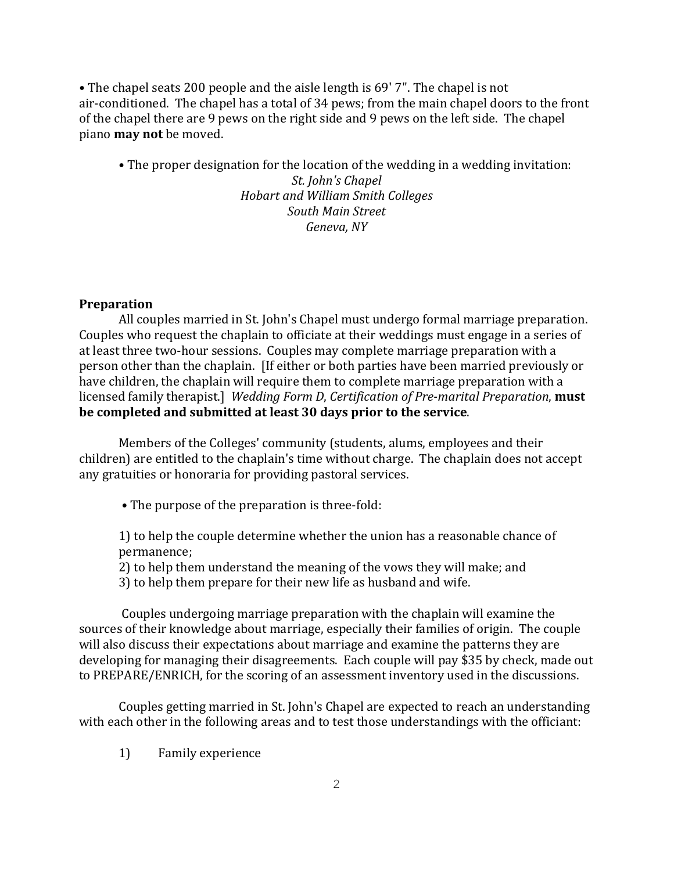• The chapel seats 200 people and the aisle length is 69' 7". The chapel is not air-conditioned. The chapel has a total of 34 pews; from the main chapel doors to the front of the chapel there are 9 pews on the right side and 9 pews on the left side. The chapel piano **may** not be moved.

• The proper designation for the location of the wedding in a wedding invitation:

*St. John's Chapel Hobart and William Smith Colleges South Main Street* Geneva, NY

## **Preparation**

All couples married in St. John's Chapel must undergo formal marriage preparation. Couples who request the chaplain to officiate at their weddings must engage in a series of at least three two-hour sessions. Couples may complete marriage preparation with a person other than the chaplain. If either or both parties have been married previously or have children, the chaplain will require them to complete marriage preparation with a licensed family therapist.] Wedding Form D, Certification of Pre-marital Preparation, **must be completed and submitted at least 30 days prior to the service.** 

Members of the Colleges' community (students, alums, employees and their children) are entitled to the chaplain's time without charge. The chaplain does not accept any gratuities or honoraria for providing pastoral services.

• The purpose of the preparation is three-fold:

1) to help the couple determine whether the union has a reasonable chance of permanence;

2) to help them understand the meaning of the vows they will make; and

3) to help them prepare for their new life as husband and wife.

Couples undergoing marriage preparation with the chaplain will examine the sources of their knowledge about marriage, especially their families of origin. The couple will also discuss their expectations about marriage and examine the patterns they are developing for managing their disagreements. Each couple will pay \$35 by check, made out to PREPARE/ENRICH, for the scoring of an assessment inventory used in the discussions.

Couples getting married in St. John's Chapel are expected to reach an understanding with each other in the following areas and to test those understandings with the officiant:

1) Family experience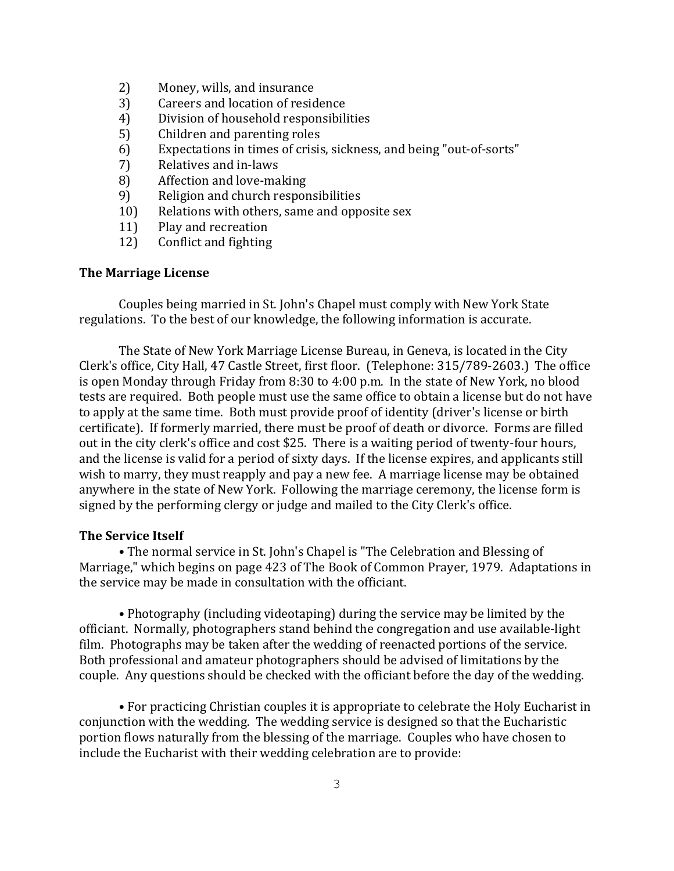- 2) Money, wills, and insurance
- 3) Careers and location of residence
- 4) Division of household responsibilities
- 5) Children and parenting roles
- 6) Expectations in times of crisis, sickness, and being "out-of-sorts"
- 7) Relatives and in-laws
- 8) Affection and love-making
- 9) Religion and church responsibilities
- 10) Relations with others, same and opposite sex
- 11) Play and recreation
- 12) Conflict and fighting

### **The Marriage License**

Couples being married in St. John's Chapel must comply with New York State regulations. To the best of our knowledge, the following information is accurate.

The State of New York Marriage License Bureau, in Geneva, is located in the City Clerk's office, City Hall, 47 Castle Street, first floor. (Telephone: 315/789-2603.) The office is open Monday through Friday from 8:30 to 4:00 p.m. In the state of New York, no blood tests are required. Both people must use the same office to obtain a license but do not have to apply at the same time. Both must provide proof of identity (driver's license or birth certificate). If formerly married, there must be proof of death or divorce. Forms are filled out in the city clerk's office and cost \$25. There is a waiting period of twenty-four hours, and the license is valid for a period of sixty days. If the license expires, and applicants still wish to marry, they must reapply and pay a new fee. A marriage license may be obtained anywhere in the state of New York. Following the marriage ceremony, the license form is signed by the performing clergy or judge and mailed to the City Clerk's office.

#### **The Service Itself**

• The normal service in St. John's Chapel is "The Celebration and Blessing of Marriage," which begins on page 423 of The Book of Common Prayer, 1979. Adaptations in the service may be made in consultation with the officiant.

• Photography (including videotaping) during the service may be limited by the officiant. Normally, photographers stand behind the congregation and use available-light film. Photographs may be taken after the wedding of reenacted portions of the service. Both professional and amateur photographers should be advised of limitations by the couple. Any questions should be checked with the officiant before the day of the wedding.

• For practicing Christian couples it is appropriate to celebrate the Holy Eucharist in conjunction with the wedding. The wedding service is designed so that the Eucharistic portion flows naturally from the blessing of the marriage. Couples who have chosen to include the Eucharist with their wedding celebration are to provide: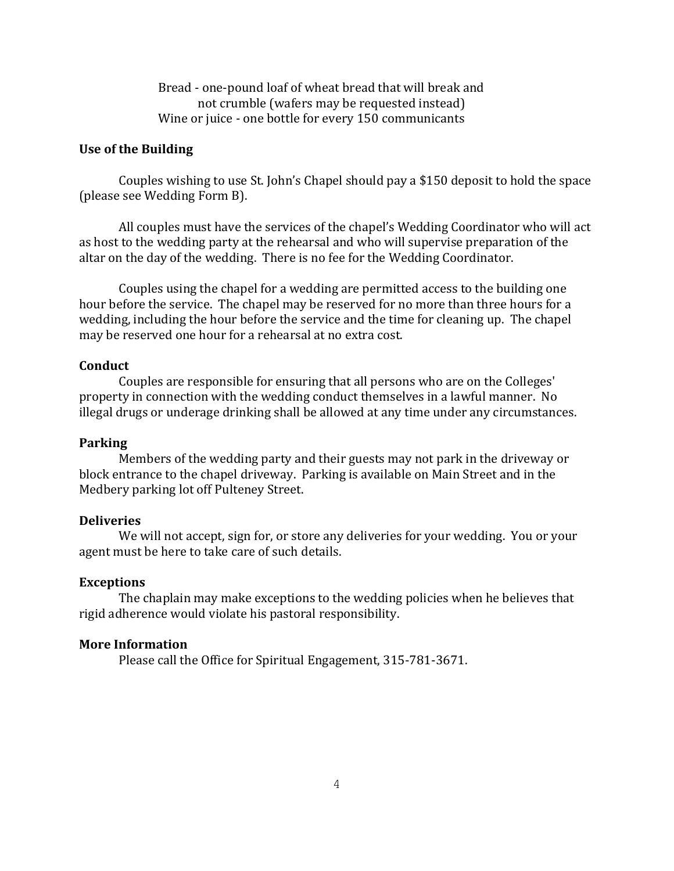Bread - one-pound loaf of wheat bread that will break and not crumble (wafers may be requested instead) Wine or juice - one bottle for every 150 communicants

### Use of the Building

Couples wishing to use St. John's Chapel should pay a \$150 deposit to hold the space (please see Wedding Form B).

All couples must have the services of the chapel's Wedding Coordinator who will act as host to the wedding party at the rehearsal and who will supervise preparation of the altar on the day of the wedding. There is no fee for the Wedding Coordinator.

Couples using the chapel for a wedding are permitted access to the building one hour before the service. The chapel may be reserved for no more than three hours for a wedding, including the hour before the service and the time for cleaning up. The chapel may be reserved one hour for a rehearsal at no extra cost.

## **Conduct**

Couples are responsible for ensuring that all persons who are on the Colleges' property in connection with the wedding conduct themselves in a lawful manner. No illegal drugs or underage drinking shall be allowed at any time under any circumstances.

## **Parking**

Members of the wedding party and their guests may not park in the driveway or block entrance to the chapel driveway. Parking is available on Main Street and in the Medbery parking lot off Pulteney Street.

### **Deliveries**

We will not accept, sign for, or store any deliveries for your wedding. You or your agent must be here to take care of such details.

#### **Exceptions**

The chaplain may make exceptions to the wedding policies when he believes that rigid adherence would violate his pastoral responsibility.

#### **More Information**

Please call the Office for Spiritual Engagement, 315-781-3671.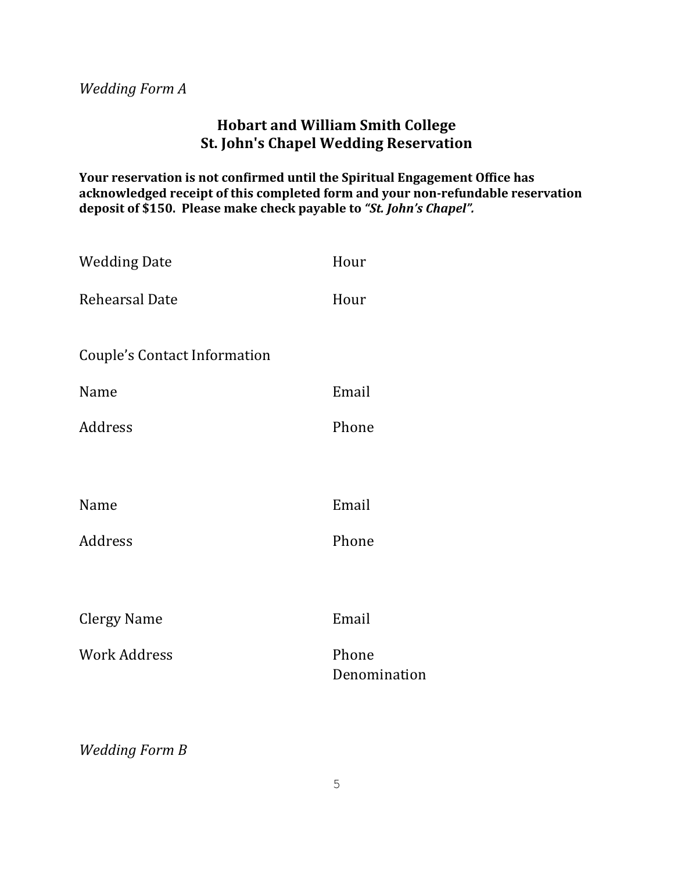# *Wedding Form A*

# **Hobart and William Smith College St. John's Chapel Wedding Reservation**

Your reservation is not confirmed until the Spiritual Engagement Office has acknowledged receipt of this completed form and your non-refundable reservation deposit of \$150. Please make check payable to "St. John's Chapel".

| <b>Wedding Date</b>                 | Hour                  |  |
|-------------------------------------|-----------------------|--|
| <b>Rehearsal Date</b>               | Hour                  |  |
|                                     |                       |  |
| <b>Couple's Contact Information</b> |                       |  |
| Name                                | Email                 |  |
| Address                             | Phone                 |  |
|                                     |                       |  |
| Name                                | Email                 |  |
| Address                             | Phone                 |  |
|                                     |                       |  |
| <b>Clergy Name</b>                  | Email                 |  |
| <b>Work Address</b>                 | Phone<br>Denomination |  |
|                                     |                       |  |

*Wedding Form B*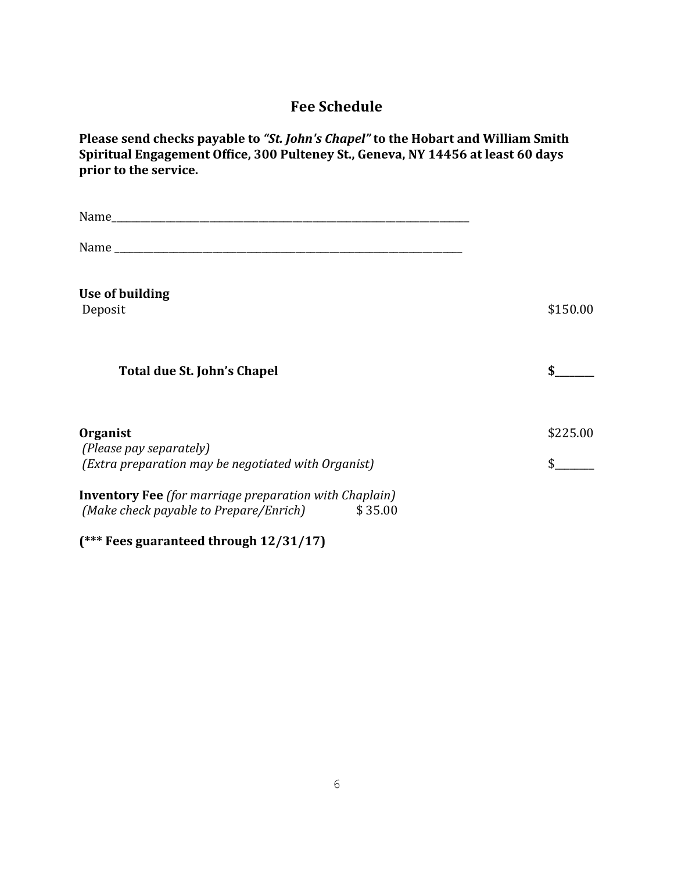# **Fee Schedule**

Please send checks payable to "St. John's Chapel" to the Hobart and William Smith Spiritual Engagement Office, 300 Pulteney St., Geneva, NY 14456 at least 60 days prior to the service.

| Name and the contract of the contract of the contract of the contract of the contract of the contract of the contract of the contract of the contract of the contract of the contract of the contract of the contract of the c |          |
|--------------------------------------------------------------------------------------------------------------------------------------------------------------------------------------------------------------------------------|----------|
|                                                                                                                                                                                                                                |          |
| Use of building<br>Deposit                                                                                                                                                                                                     | \$150.00 |
| Total due St. John's Chapel                                                                                                                                                                                                    |          |
| Organist<br>(Please pay separately)<br>(Extra preparation may be negotiated with Organist)                                                                                                                                     | \$225.00 |
| <b>Inventory Fee</b> (for marriage preparation with Chaplain)<br>(Make check payable to Prepare/Enrich)<br>\$35.00                                                                                                             |          |

**(\*\*\* Fees guaranteed through 12/31/17)**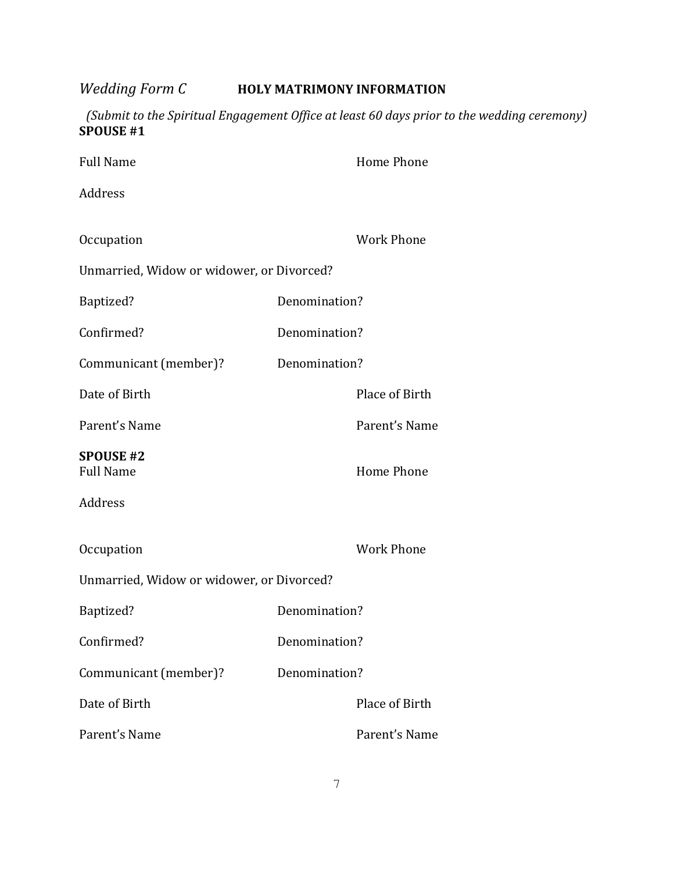*Wedding Form C* **HOLY MATRIMONY INFORMATION**

*(Submit to the Spiritual Engagement Office at least 60 days prior to the wedding ceremony)* **SPOUSE #1** 

| <b>Full Name</b>                          |               | <b>Home Phone</b> |  |
|-------------------------------------------|---------------|-------------------|--|
| Address                                   |               |                   |  |
|                                           |               |                   |  |
| Occupation                                |               | <b>Work Phone</b> |  |
| Unmarried, Widow or widower, or Divorced? |               |                   |  |
| Baptized?                                 | Denomination? |                   |  |
| Confirmed?                                | Denomination? |                   |  |
| Communicant (member)?                     | Denomination? |                   |  |
| Date of Birth                             |               | Place of Birth    |  |
| Parent's Name                             |               | Parent's Name     |  |
| <b>SPOUSE #2</b><br><b>Full Name</b>      |               | <b>Home Phone</b> |  |
| Address                                   |               |                   |  |
| Occupation                                |               | <b>Work Phone</b> |  |
| Unmarried, Widow or widower, or Divorced? |               |                   |  |
| Baptized?                                 | Denomination? |                   |  |
| Confirmed?                                | Denomination? |                   |  |
| Communicant (member)?                     | Denomination? |                   |  |
| Date of Birth                             |               | Place of Birth    |  |
| Parent's Name                             |               | Parent's Name     |  |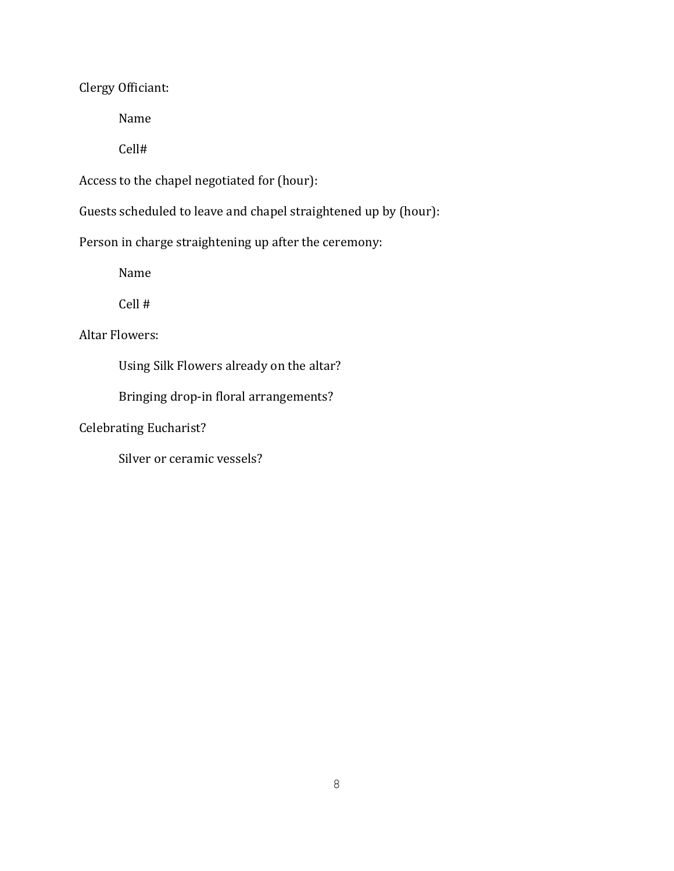Clergy Officiant:

Name

Cell#

Access to the chapel negotiated for (hour):

Guests scheduled to leave and chapel straightened up by (hour):

Person in charge straightening up after the ceremony:

Name

Cell #

Altar Flowers:

Using Silk Flowers already on the altar?

Bringing drop-in floral arrangements?

Celebrating Eucharist?

Silver or ceramic vessels?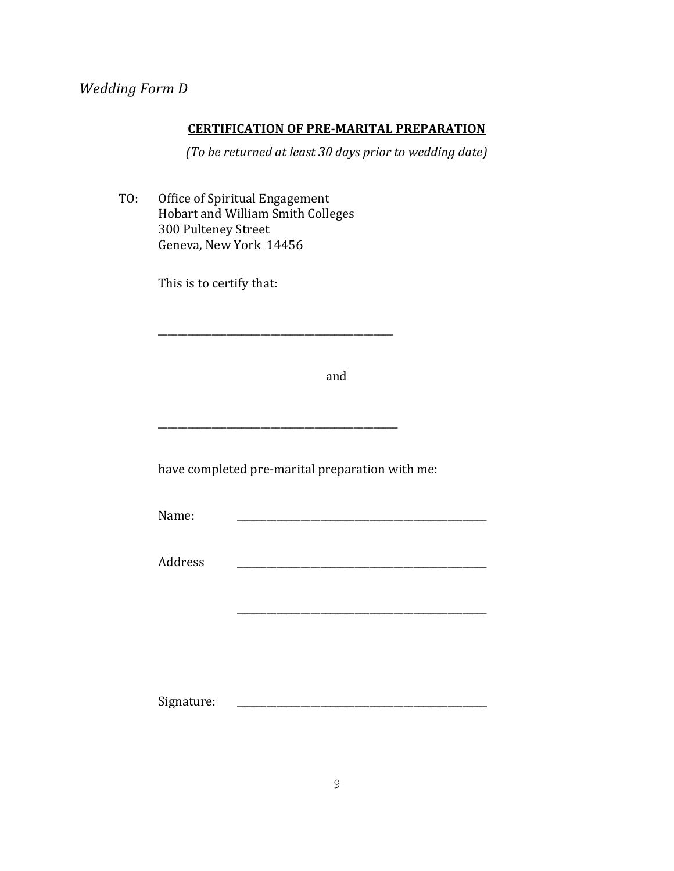# **CERTIFICATION OF PRE-MARITAL PREPARATION**

*(To be returned at least 30 days prior to wedding date)* 

TO: Office of Spiritual Engagement Hobart and William Smith Colleges 300 Pulteney Street Geneva, New York 14456

This is to certify that:

and

have completed pre-marital preparation with me:

\_\_\_\_\_\_\_\_\_\_\_\_\_\_\_\_\_\_\_\_\_\_\_\_\_\_\_\_\_\_\_\_\_\_\_\_\_\_\_\_\_\_\_\_\_\_\_\_

\_\_\_\_\_\_\_\_\_\_\_\_\_\_\_\_\_\_\_\_\_\_\_\_\_\_\_\_\_\_\_\_\_\_\_\_\_\_\_\_\_\_\_\_\_\_\_\_\_

Name: \_\_\_\_\_\_\_\_\_\_\_\_\_\_\_\_\_\_\_\_\_\_\_\_\_\_\_\_\_\_\_\_\_\_\_\_\_\_\_\_\_\_\_\_\_\_\_\_\_\_\_

Address \_\_\_\_\_\_\_\_\_\_\_\_\_\_\_\_\_\_\_\_\_\_\_\_\_\_\_\_\_\_\_\_\_\_\_\_\_\_\_\_\_\_\_\_\_\_\_\_\_\_\_

Signature: \_\_\_\_\_\_\_\_\_\_\_\_\_\_\_\_\_\_\_\_\_\_\_\_\_\_\_\_\_\_\_\_\_\_\_\_\_\_\_\_\_\_\_\_\_\_\_\_\_\_\_

\_\_\_\_\_\_\_\_\_\_\_\_\_\_\_\_\_\_\_\_\_\_\_\_\_\_\_\_\_\_\_\_\_\_\_\_\_\_\_\_\_\_\_\_\_\_\_\_\_\_\_